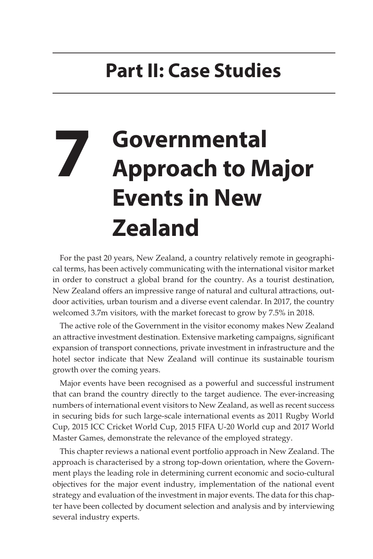## **Part II: Case Studies**

## **7 Governmental Approach to Major Events in New Zealand**

For the past 20 years, New Zealand, a country relatively remote in geographical terms, has been actively communicating with the international visitor market in order to construct a global brand for the country. As a tourist destination, New Zealand offers an impressive range of natural and cultural attractions, outdoor activities, urban tourism and a diverse event calendar. In 2017, the country welcomed 3.7m visitors, with the market forecast to grow by 7.5% in 2018.

The active role of the Government in the visitor economy makes New Zealand an attractive investment destination. Extensive marketing campaigns, significant expansion of transport connections, private investment in infrastructure and the hotel sector indicate that New Zealand will continue its sustainable tourism growth over the coming years.

Major events have been recognised as a powerful and successful instrument that can brand the country directly to the target audience. The ever-increasing numbers of international event visitors to New Zealand, as well as recent success in securing bids for such large-scale international events as 2011 Rugby World Cup, 2015 ICC Cricket World Cup, 2015 FIFA U-20 World cup and 2017 World Master Games, demonstrate the relevance of the employed strategy.

This chapter reviews a national event portfolio approach in New Zealand. The approach is characterised by a strong top-down orientation, where the Government plays the leading role in determining current economic and socio-cultural objectives for the major event industry, implementation of the national event strategy and evaluation of the investment in major events. The data for this chapter have been collected by document selection and analysis and by interviewing several industry experts.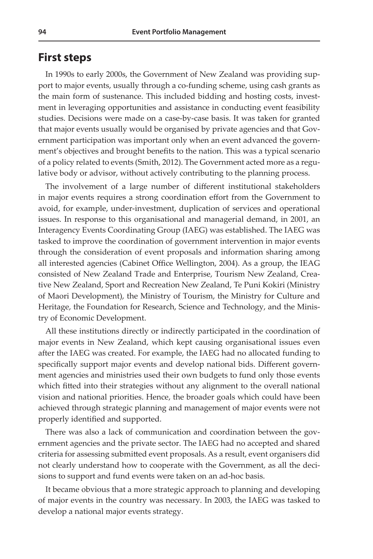## **First steps**

In 1990s to early 2000s, the Government of New Zealand was providing support to major events, usually through a co-funding scheme, using cash grants as the main form of sustenance. This included bidding and hosting costs, investment in leveraging opportunities and assistance in conducting event feasibility studies. Decisions were made on a case-by-case basis. It was taken for granted that major events usually would be organised by private agencies and that Government participation was important only when an event advanced the government's objectives and brought benefits to the nation. This was a typical scenario of a policy related to events (Smith, 2012). The Government acted more as a regulative body or advisor, without actively contributing to the planning process.

The involvement of a large number of different institutional stakeholders in major events requires a strong coordination effort from the Government to avoid, for example, under-investment, duplication of services and operational issues. In response to this organisational and managerial demand, in 2001, an Interagency Events Coordinating Group (IAEG) was established. The IAEG was tasked to improve the coordination of government intervention in major events through the consideration of event proposals and information sharing among all interested agencies (Cabinet Office Wellington, 2004). As a group, the IEAG consisted of New Zealand Trade and Enterprise, Tourism New Zealand, Creative New Zealand, Sport and Recreation New Zealand, Te Puni Kokiri (Ministry of Maori Development), the Ministry of Tourism, the Ministry for Culture and Heritage, the Foundation for Research, Science and Technology, and the Ministry of Economic Development.

All these institutions directly or indirectly participated in the coordination of major events in New Zealand, which kept causing organisational issues even after the IAEG was created. For example, the IAEG had no allocated funding to specifically support major events and develop national bids. Different government agencies and ministries used their own budgets to fund only those events which fitted into their strategies without any alignment to the overall national vision and national priorities. Hence, the broader goals which could have been achieved through strategic planning and management of major events were not properly identified and supported.

There was also a lack of communication and coordination between the government agencies and the private sector. The IAEG had no accepted and shared criteria for assessing submitted event proposals. As a result, event organisers did not clearly understand how to cooperate with the Government, as all the decisions to support and fund events were taken on an ad-hoc basis.

It became obvious that a more strategic approach to planning and developing of major events in the country was necessary. In 2003, the IAEG was tasked to develop a national major events strategy.